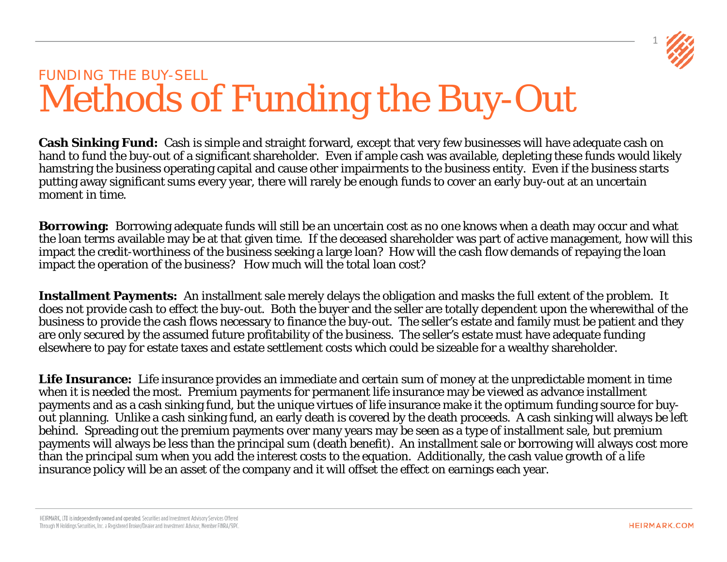

### FUNDING THE BUY-SELL Methods of Funding the Buy-Out

**Cash Sinking Fund:** Cash is simple and straight forward, except that very few businesses will have adequate cash on hand to fund the buy-out of a significant shareholder. Even if ample cash was available, depleting these funds would likely hamstring the business operating capital and cause other impairments to the business entity. Even if the business starts putting away significant sums every year, there will rarely be enough funds to cover an early buy-out at an uncertain moment in time.

**Borrowing:** Borrowing adequate funds will still be an uncertain cost as no one knows when a death may occur and what the loan terms available may be at that given time. If the deceased shareholder was part of active management, how will this impact the credit-worthiness of the business seeking a large loan? How will the cash flow demands of repaying the loan impact the operation of the business? How much will the total loan cost?

**Installment Payments:** An installment sale merely delays the obligation and masks the full extent of the problem. It does not provide cash to effect the buy-out. Both the buyer and the seller are totally dependent upon the wherewithal of the business to provide the cash flows necessary to finance the buy-out. The seller's estate and family must be patient and they are only secured by the assumed future profitability of the business. The seller's estate must have adequate funding elsewhere to pay for estate taxes and estate settlement costs which could be sizeable for a wealthy shareholder.

**Life Insurance:** Life insurance provides an immediate and certain sum of money at the unpredictable moment in time when it is needed the most. Premium payments for permanent life insurance may be viewed as advance installment payments and as a cash sinking fund, but the unique virtues of life insurance make it the optimum funding source for buyout planning. Unlike a cash sinking fund, an early death is covered by the death proceeds. A cash sinking will always be left behind. Spreading out the premium payments over many years may be seen as a type of installment sale, but premium payments will always be less than the principal sum (death benefit). An installment sale or borrowing will always cost more than the principal sum when you add the interest costs to the equation. Additionally, the cash value growth of a life insurance policy will be an asset of the company and it will offset the effect on earnings each year.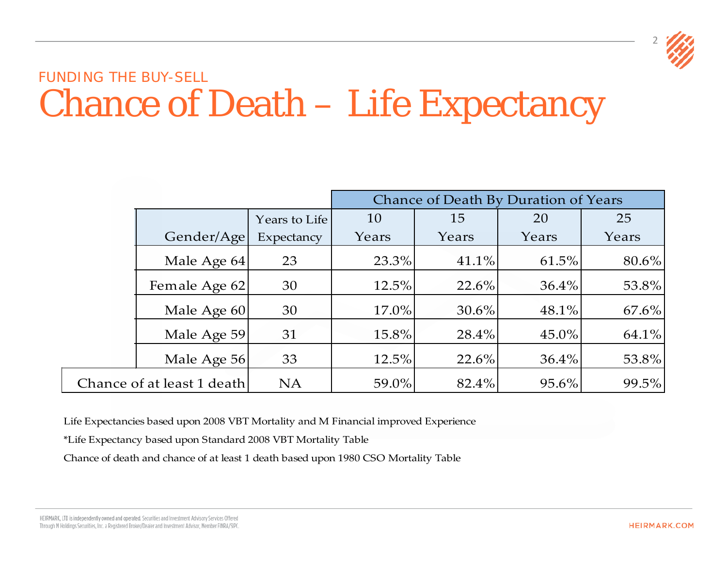

### FUNDING THE BUY-SELL Chance of Death – Life Expectancy

|                            |               |       |          | Chance of Death By Duration of Years |       |
|----------------------------|---------------|-------|----------|--------------------------------------|-------|
|                            | Years to Life | 10    | 15       | 20                                   | 25    |
| Gender/Age                 | Expectancy    | Years | Years    | Years                                | Years |
| Male Age 64                | 23            | 23.3% | 41.1%    | 61.5%                                | 80.6% |
| Female Age 62              | 30            | 12.5% | 22.6%    | 36.4%                                | 53.8% |
| Male Age 60                | 30            | 17.0% | $30.6\%$ | 48.1%                                | 67.6% |
| Male Age 59                | 31            | 15.8% | 28.4%    | 45.0%                                | 64.1% |
| Male Age 56                | 33            | 12.5% | $22.6\%$ | 36.4%                                | 53.8% |
| Chance of at least 1 death | <b>NA</b>     | 59.0% | 82.4%    | 95.6%                                | 99.5% |

Life Expectancies based upon 2008 VBT Mortality and M Financial improved Experience

\*Life Expectancy based upon Standard 2008 VBT Mortality Table

Chance of death and chance of at least 1 death based upon 1980 CSO Mortality Table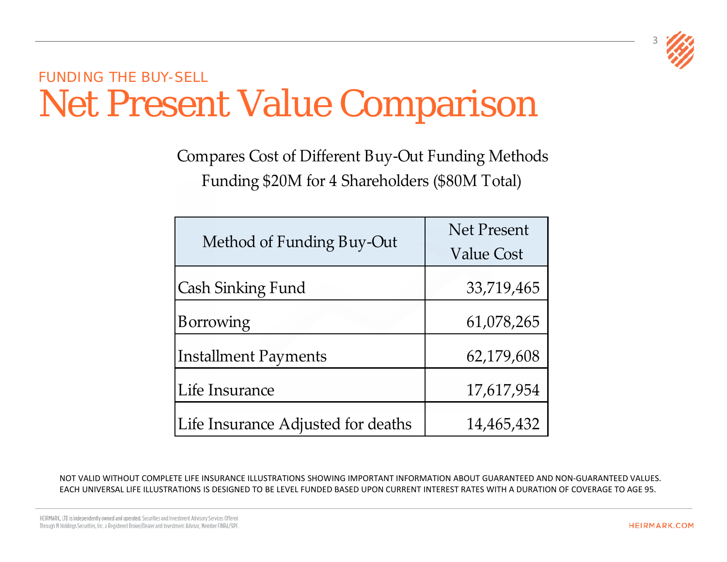

### FUNDING THE BUY-SELL Net Present Value Comparison

Funding \$20M for 4 Shareholders (\$80M Total) Compares Cost of Different Buy-Out Funding Methods

|                                    | <b>Net Present</b> |
|------------------------------------|--------------------|
| Method of Funding Buy-Out          | Value Cost         |
| Cash Sinking Fund                  | 33,719,465         |
| Borrowing                          | 61,078,265         |
| Installment Payments               | 62,179,608         |
| Life Insurance                     | 17,617,954         |
| Life Insurance Adjusted for deaths | 14,465,432         |

NOT VALID WITHOUT COMPLETE LIFE INSURANCE ILLUSTRATIONS SHOWING IMPORTANT INFORMATION ABOUT GUARANTEED AND NON-GUARANTEED VALUES. EACH UNIVERSAL LIFE ILLUSTRATIONS IS DESIGNED TO BE LEVEL FUNDED BASED UPON CURRENT INTEREST RATES WITH A DURATION OF COVERAGE TO AGE 95.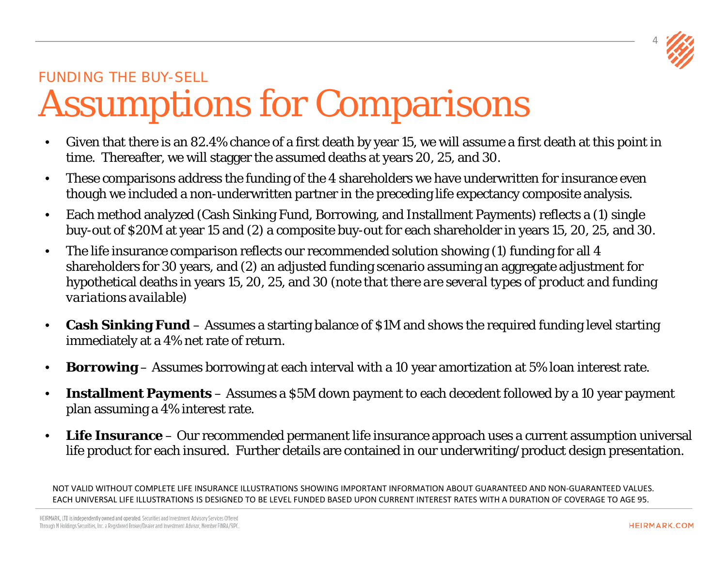

## FUNDING THE BUY-SELL Assumptions for Comparisons

- Given that there is an 82.4% chance of a first death by year 15, we will assume a first death at this point in time. Thereafter, we will stagger the assumed deaths at years 20, 25, and 30.
- These comparisons address the funding of the 4 shareholders we have underwritten for insurance even though we included a non-underwritten partner in the preceding life expectancy composite analysis.
- Each method analyzed (Cash Sinking Fund, Borrowing, and Installment Payments) reflects a (1) single buy-out of \$20M at year 15 and (2) a composite buy-out for each shareholder in years 15, 20, 25, and 30.
- The life insurance comparison reflects our recommended solution showing (1) funding for all 4 shareholders for 30 years, and (2) an adjusted funding scenario assuming an aggregate adjustment for hypothetical deaths in years 15, 20, 25, and 30 *(note that there are several types of product and funding variations available)*
- **Cash Sinking Fund**  Assumes a starting balance of \$1M and shows the required funding level starting immediately at a 4% net rate of return.
- **Borrowing**  Assumes borrowing at each interval with a 10 year amortization at 5% loan interest rate.
- **Installment Payments**  Assumes a \$5M down payment to each decedent followed by a 10 year payment plan assuming a 4% interest rate.
- **Life Insurance**  Our recommended permanent life insurance approach uses a current assumption universal life product for each insured. Further details are contained in our underwriting/product design presentation.

NOT VALID WITHOUT COMPLETE LIFE INSURANCE ILLUSTRATIONS SHOWING IMPORTANT INFORMATION ABOUT GUARANTEED AND NON-GUARANTEED VALUES. EACH UNIVERSAL LIFE ILLUSTRATIONS IS DESIGNED TO BE LEVEL FUNDED BASED UPON CURRENT INTEREST RATES WITH A DURATION OF COVERAGE TO AGE 95.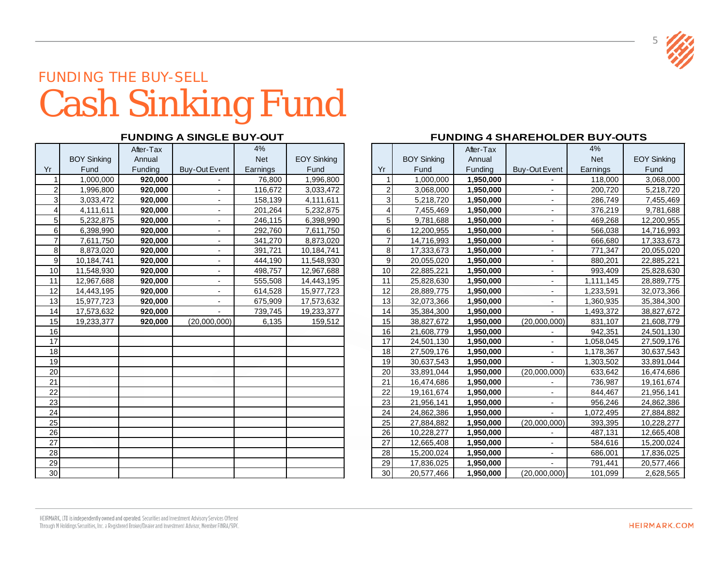## FUNDING THE BUY-SELL Cash Sinking Fund

|                |                    | After-Tax |                              | 4%         |                    |    |
|----------------|--------------------|-----------|------------------------------|------------|--------------------|----|
|                | <b>BOY Sinking</b> | Annual    |                              | <b>Net</b> | <b>EOY Sinking</b> |    |
| Yr             | Fund               | Funding   | <b>Buy-Out Event</b>         | Earnings   | Fund               | Yr |
| $\mathbf{1}$   | 1,000,000          | 920,000   |                              | 76,800     | 1,996,800          |    |
| $\overline{2}$ | 1,996,800          | 920,000   |                              | 116,672    | 3,033,472          |    |
| 3              | 3,033,472          | 920,000   |                              | 158,139    | 4,111,611          |    |
| $\overline{4}$ | 4,111,611          | 920,000   | $\qquad \qquad \blacksquare$ | 201,264    | 5,232,875          |    |
| 5              | 5,232,875          | 920,000   |                              | 246,115    | 6,398,990          |    |
| 6              | 6,398,990          | 920,000   |                              | 292,760    | 7,611,750          |    |
| $\overline{7}$ | 7,611,750          | 920,000   |                              | 341,270    | 8,873,020          |    |
| 8              | 8,873,020          | 920,000   | $\overline{\phantom{a}}$     | 391,721    | 10,184,741         |    |
| 9              | 10,184,741         | 920,000   |                              | 444,190    | 11,548,930         |    |
| 10             | 11,548,930         | 920,000   |                              | 498,757    | 12,967,688         |    |
| 11             | 12,967,688         | 920,000   |                              | 555,508    | 14,443,195         |    |
| 12             | 14,443,195         | 920,000   | $\overline{\phantom{a}}$     | 614,528    | 15,977,723         |    |
| 13             | 15,977,723         | 920,000   |                              | 675,909    | 17,573,632         |    |
| 14             | 17,573,632         | 920,000   |                              | 739,745    | 19,233,377         |    |
| 15             | 19,233,377         | 920,000   | (20,000,000)                 | 6,135      | 159,512            |    |
| 16             |                    |           |                              |            |                    |    |
| 17             |                    |           |                              |            |                    |    |
| 18             |                    |           |                              |            |                    |    |
| 19             |                    |           |                              |            |                    |    |
| 20             |                    |           |                              |            |                    |    |
| 21             |                    |           |                              |            |                    |    |
| 22             |                    |           |                              |            |                    |    |
| 23             |                    |           |                              |            |                    |    |
| 24             |                    |           |                              |            |                    |    |
| 25             |                    |           |                              |            |                    |    |
| 26             |                    |           |                              |            |                    |    |
| 27             |                    |           |                              |            |                    |    |
| 28             |                    |           |                              |            |                    |    |
| 29             |                    |           |                              |            |                    |    |
| 30             |                    |           |                              |            |                    |    |

### **FUNDING A SINGLE BUY-OUT FUNDING 4 SHAREHOLDER BUY-OUTS**

|                 |                    | After-Tax |                      | 4%         |                    |                |                    | After-Tax |                          | 4%         |                    |
|-----------------|--------------------|-----------|----------------------|------------|--------------------|----------------|--------------------|-----------|--------------------------|------------|--------------------|
|                 | <b>BOY Sinking</b> | Annual    |                      | <b>Net</b> | <b>EOY Sinking</b> |                | <b>BOY Sinking</b> | Annual    |                          | <b>Net</b> | <b>EOY Sinking</b> |
|                 | Fund               | Funding   | <b>Buy-Out Event</b> | Earnings   | Fund               | Yr             | Fund               | Funding   | <b>Buy-Out Event</b>     | Earnings   | Fund               |
|                 | 1,000,000          | 920,000   |                      | 76,800     | 1,996,800          |                | 1,000,000          | 1,950,000 |                          | 118,000    | 3,068,000          |
|                 | 1,996,800          | 920.000   |                      | 116,672    | 3,033,472          |                | 3,068,000          | 1,950,000 |                          | 200,720    | 5,218,720          |
| $\mathfrak{Z}$  | 3,033,472          | 920,000   |                      | 158,139    | 4,111,611          | 3              | 5,218,720          | 1,950,000 |                          | 286,749    | 7,455,469          |
| 4               | 4,111,611          | 920,000   |                      | 201,264    | 5,232,875          |                | 7,455,469          | 1,950,000 |                          | 376,219    | 9,781,688          |
| 5               | 5,232,875          | 920,000   |                      | 246,115    | 6,398,990          | 5              | 9,781,688          | 1,950,000 |                          | 469,268    | 12,200,955         |
| 6               | 6,398,990          | 920.000   | $\sim$               | 292,760    | 7,611,750          | 6              | 12,200,955         | 1,950,000 | $\sim$                   | 566,038    | 14,716,993         |
| $\overline{7}$  | 7,611,750          | 920,000   |                      | 341,270    | 8,873,020          | $\overline{7}$ | 14,716,993         | 1,950,000 |                          | 666,680    | 17,333,673         |
| 8               | 8,873,020          | 920,000   |                      | 391,721    | 10,184,741         | 8              | 17,333,673         | 1,950,000 |                          | 771,347    | 20,055,020         |
| 9               | 10,184,741         | 920,000   |                      | 444,190    | 11,548,930         | 9              | 20,055,020         | 1,950,000 | $\overline{\phantom{a}}$ | 880,201    | 22,885,221         |
| 10              | 11,548,930         | 920,000   |                      | 498,757    | 12,967,688         | 10             | 22,885,221         | 1,950,000 |                          | 993,409    | 25,828,630         |
| 11              | 12,967,688         | 920,000   |                      | 555,508    | 14,443,195         | 11             | 25,828,630         | 1,950,000 |                          | 1,111,145  | 28,889,775         |
| $\overline{12}$ | 14,443,195         | 920,000   |                      | 614,528    | 15,977,723         | 12             | 28,889,775         | 1,950,000 |                          | 1,233,591  | 32,073,366         |
| 13              | 15,977,723         | 920,000   |                      | 675,909    | 17,573,632         | 13             | 32,073,366         | 1,950,000 |                          | 1,360,935  | 35,384,300         |
| 14              | 17,573,632         | 920,000   |                      | 739,745    | 19,233,377         | 14             | 35,384,300         | 1,950,000 |                          | 1,493,372  | 38,827,672         |
| 15              | 19,233,377         | 920,000   | (20,000,000)         | 6,135      | 159,512            | 15             | 38,827,672         | 1,950,000 | (20,000,000)             | 831,107    | 21,608,779         |
| 16              |                    |           |                      |            |                    | 16             | 21,608,779         | 1,950,000 |                          | 942,351    | 24,501,130         |
| $\overline{17}$ |                    |           |                      |            |                    | 17             | 24,501,130         | 1,950,000 | $\overline{\phantom{a}}$ | 1,058,045  | 27,509,176         |
| $\overline{18}$ |                    |           |                      |            |                    | 18             | 27,509,176         | 1,950,000 |                          | 1,178,367  | 30,637,543         |
| 19              |                    |           |                      |            |                    | 19             | 30,637,543         | 1,950,000 |                          | 1,303,502  | 33,891,044         |
| $\overline{20}$ |                    |           |                      |            |                    | 20             | 33,891,044         | 1,950,000 | (20,000,000)             | 633,642    | 16,474,686         |
| $\overline{21}$ |                    |           |                      |            |                    | 21             | 16,474,686         | 1,950,000 |                          | 736,987    | 19,161,674         |
| $\overline{22}$ |                    |           |                      |            |                    | 22             | 19,161,674         | 1,950,000 |                          | 844,467    | 21,956,141         |
| 23              |                    |           |                      |            |                    | 23             | 21,956,141         | 1,950,000 | $\sim$                   | 956,246    | 24,862,386         |
| $\overline{24}$ |                    |           |                      |            |                    | 24             | 24,862,386         | 1,950,000 |                          | 1,072,495  | 27,884,882         |
| $\overline{25}$ |                    |           |                      |            |                    | 25             | 27,884,882         | 1,950,000 | (20,000,000)             | 393,395    | 10,228,277         |
| 26              |                    |           |                      |            |                    | 26             | 10,228,277         | 1,950,000 |                          | 487,131    | 12,665,408         |
| $\frac{27}{28}$ |                    |           |                      |            |                    | 27             | 12,665,408         | 1,950,000 |                          | 584,616    | 15,200,024         |
|                 |                    |           |                      |            |                    | 28             | 15,200,024         | 1,950,000 |                          | 686,001    | 17,836,025         |
| 29              |                    |           |                      |            |                    | 29             | 17,836,025         | 1,950,000 |                          | 791,441    | 20,577,466         |
| 30              |                    |           |                      |            |                    | 30             | 20,577,466         | 1,950,000 | (20,000,000)             | 101,099    | 2,628,565          |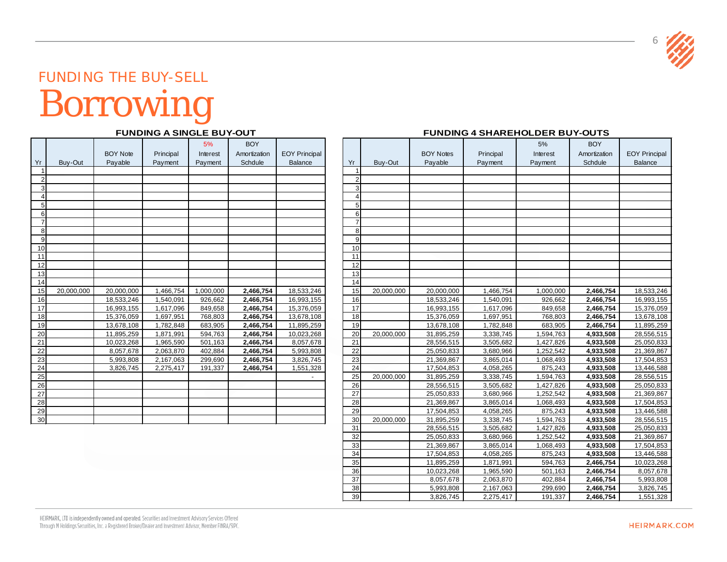

### FUNDING THE BUY-SELL Borrowing

#### **FUNDING A SINGLE BUY-OUT**

|                |            | <b>BOY Note</b> | Principal | 5%<br>Interest | <b>BOY</b><br>Amortization | <b>EOY Principal</b> |                 |                |
|----------------|------------|-----------------|-----------|----------------|----------------------------|----------------------|-----------------|----------------|
| Yr             | Buy-Out    | Payable         | Payment   | Payment        | Schdule                    | <b>Balance</b>       | Yr              | Buy-Out        |
| 1              |            |                 |           |                |                            |                      |                 | 1              |
| $\overline{2}$ |            |                 |           |                |                            |                      |                 | $\overline{a}$ |
| $\overline{3}$ |            |                 |           |                |                            |                      |                 | $\overline{3}$ |
| $\overline{4}$ |            |                 |           |                |                            |                      |                 | $\overline{4}$ |
| 5              |            |                 |           |                |                            |                      |                 | $\overline{5}$ |
| $\overline{6}$ |            |                 |           |                |                            |                      |                 | 6              |
| $\overline{7}$ |            |                 |           |                |                            |                      |                 | $\overline{7}$ |
| 8              |            |                 |           |                |                            |                      |                 | 8 <sup>1</sup> |
| 9              |            |                 |           |                |                            |                      |                 | $\overline{9}$ |
| 10             |            |                 |           |                |                            |                      | 10              |                |
| 11             |            |                 |           |                |                            |                      | 11              |                |
| 12             |            |                 |           |                |                            |                      | 12              |                |
| 13             |            |                 |           |                |                            |                      | 13              |                |
| 14             |            |                 |           |                |                            |                      | 14              |                |
| 15             | 20,000,000 | 20,000,000      | 1,466,754 | 1,000,000      | 2,466,754                  | 18,533,246           | 15              | 20,000,0       |
| 16             |            | 18,533,246      | 1,540,091 | 926,662        | 2,466,754                  | 16,993,155           | 16              |                |
| 17             |            | 16,993,155      | 1,617,096 | 849,658        | 2,466,754                  | 15,376,059           | 17              |                |
| 18             |            | 15,376,059      | 1,697,951 | 768,803        | 2,466,754                  | 13,678,108           | 18              |                |
| 19             |            | 13,678,108      | 1,782,848 | 683,905        | 2,466,754                  | 11,895,259           | 19              |                |
| 20             |            | 11,895,259      | 1,871,991 | 594,763        | 2,466,754                  | 10,023,268           | 20              | 20,000,0       |
| 21             |            | 10,023,268      | 1,965,590 | 501,163        | 2,466,754                  | 8,057,678            | 21              |                |
| 22             |            | 8,057,678       | 2,063,870 | 402,884        | 2,466,754                  | 5,993,808            | 22              |                |
| 23             |            | 5,993,808       | 2,167,063 | 299,690        | 2,466,754                  | 3,826,745            | 23              |                |
| 24             |            | 3,826,745       | 2,275,417 | 191,337        | 2,466,754                  | 1,551,328            | 24              |                |
| 25             |            |                 |           |                |                            |                      | 25              | 20,000,0       |
| 26             |            |                 |           |                |                            |                      | 26              |                |
| 27             |            |                 |           |                |                            |                      | 27              |                |
| 28             |            |                 |           |                |                            |                      | 28              |                |
| 29             |            |                 |           |                |                            |                      | 29              |                |
| 30             |            |                 |           |                |                            |                      | 30 <sup>1</sup> | 20,000.0       |

#### **FUNDING 4 SHAREHOLDER BUY-OUTS**

|                                    |            |                 |           | 5%        | <b>BOY</b>   |                      |                 |                |                  |           | 5%        | <b>BOY</b>   |                      |
|------------------------------------|------------|-----------------|-----------|-----------|--------------|----------------------|-----------------|----------------|------------------|-----------|-----------|--------------|----------------------|
|                                    |            | <b>BOY Note</b> | Principal | Interest  | Amortization | <b>EOY Principal</b> |                 |                | <b>BOY Notes</b> | Principal | Interest  | Amortization | <b>EOY Principal</b> |
|                                    | Buy-Out    | Payable         | Payment   | Payment   | Schdule      | Balance              | Yr              | Buy-Out        | Payable          | Payment   | Payment   | Schdule      | Balance              |
|                                    |            |                 |           |           |              |                      |                 |                |                  |           |           |              |                      |
| 2                                  |            |                 |           |           |              |                      |                 |                |                  |           |           |              |                      |
| $\overline{3}$                     |            |                 |           |           |              |                      |                 | 3              |                  |           |           |              |                      |
| $\overline{4}$                     |            |                 |           |           |              |                      |                 | $\Delta$       |                  |           |           |              |                      |
| 5 <sub>5</sub>                     |            |                 |           |           |              |                      |                 | 5              |                  |           |           |              |                      |
| 6                                  |            |                 |           |           |              |                      |                 | 6              |                  |           |           |              |                      |
| $\overline{7}$                     |            |                 |           |           |              |                      |                 | $\overline{7}$ |                  |           |           |              |                      |
| 8                                  |            |                 |           |           |              |                      |                 | 8              |                  |           |           |              |                      |
| 9                                  |            |                 |           |           |              |                      |                 | 9              |                  |           |           |              |                      |
| 10                                 |            |                 |           |           |              |                      | 10              |                |                  |           |           |              |                      |
| 11                                 |            |                 |           |           |              |                      | 11              |                |                  |           |           |              |                      |
| 12                                 |            |                 |           |           |              |                      | 12              |                |                  |           |           |              |                      |
| 13                                 |            |                 |           |           |              |                      | 13              |                |                  |           |           |              |                      |
| 14                                 |            |                 |           |           |              |                      | 14              |                |                  |           |           |              |                      |
| 15                                 | 20,000,000 | 20,000,000      | 1,466,754 | 1,000,000 | 2,466,754    | 18,533,246           | 15              | 20,000,000     | 20,000,000       | 1,466,754 | 1,000,000 | 2,466,754    | 18,533,246           |
| 16                                 |            | 18,533,246      | 1,540,091 | 926,662   | 2,466,754    | 16,993,155           | 16              |                | 18,533,246       | 1,540,091 | 926,662   | 2,466,754    | 16,993,155           |
| 17                                 |            | 16,993,155      | 1,617,096 | 849,658   | 2,466,754    | 15,376,059           | 17              |                | 16,993,155       | 1,617,096 | 849,658   | 2,466,754    | 15,376,059           |
| 18                                 |            | 15,376,059      | 1,697,951 | 768,803   | 2,466,754    | 13,678,108           | $\overline{18}$ |                | 15,376,059       | 1,697,951 | 768,803   | 2,466,754    | 13,678,108           |
| 19                                 |            | 13,678,108      | 1,782,848 | 683,905   | 2,466,754    | 11,895,259           | $\overline{19}$ |                | 13,678,108       | 1,782,848 | 683,905   | 2,466,754    | 11,895,259           |
| 20                                 |            | 11,895,259      | 1,871,991 | 594,763   | 2,466,754    | 10,023,268           | 20              | 20,000,000     | 31,895,259       | 3,338,745 | 1,594,763 | 4,933,508    | 28,556,515           |
| $\overline{21}$                    |            | 10,023,268      | 1,965,590 | 501,163   | 2,466,754    | 8,057,678            | 21              |                | 28,556,515       | 3,505,682 | 1,427,826 | 4,933,508    | 25,050,833           |
|                                    |            | 8,057,678       | 2,063,870 | 402,884   | 2,466,754    | 5,993,808            | 22              |                | 25,050,833       | 3,680,966 | 1,252,542 | 4,933,508    | 21,369,867           |
|                                    |            | 5,993,808       | 2,167,063 | 299,690   | 2,466,754    | 3,826,745            | 23              |                | 21,369,867       | 3,865,014 | 1,068,493 | 4,933,508    | 17,504,853           |
| $\frac{22}{23}$<br>$\frac{23}{24}$ |            | 3,826,745       | 2,275,417 | 191,337   | 2,466,754    | 1,551,328            | 24              |                | 17,504,853       | 4,058,265 | 875,243   | 4,933,508    | 13,446,588           |
|                                    |            |                 |           |           |              |                      | 25              | 20,000,000     | 31,895,259       | 3,338,745 | 1,594,763 | 4,933,508    | 28,556,515           |
| $\frac{26}{27}$                    |            |                 |           |           |              |                      | 26              |                | 28,556,515       | 3,505,682 | 1,427,826 | 4,933,508    | 25,050,833           |
|                                    |            |                 |           |           |              |                      | 27              |                | 25,050,833       | 3,680,966 | 1,252,542 | 4,933,508    | 21,369,867           |
| $\frac{28}{29}$                    |            |                 |           |           |              |                      | 28              |                | 21,369,867       | 3,865,014 | 1,068,493 | 4,933,508    | 17,504,853           |
|                                    |            |                 |           |           |              |                      | 29              |                | 17,504,853       | 4,058,265 | 875,243   | 4,933,508    | 13,446,588           |
| 30                                 |            |                 |           |           |              |                      | 30              | 20,000,000     | 31,895,259       | 3,338,745 | 1,594,763 | 4,933,508    | 28,556,515           |
|                                    |            |                 |           |           |              |                      | 31              |                | 28,556,515       | 3,505,682 | 1,427,826 | 4,933,508    | 25,050,833           |
|                                    |            |                 |           |           |              |                      | 32              |                | 25,050,833       | 3,680,966 | 1,252,542 | 4,933,508    | 21,369,867           |
|                                    |            |                 |           |           |              |                      | 33              |                | 21,369,867       | 3,865,014 | 1,068,493 | 4,933,508    | 17,504,853           |
|                                    |            |                 |           |           |              |                      | 34              |                | 17,504,853       | 4,058,265 | 875,243   | 4,933,508    | 13,446,588           |
|                                    |            |                 |           |           |              |                      | 35              |                | 11,895,259       | 1,871,991 | 594,763   | 2,466,754    | 10,023,268           |
|                                    |            |                 |           |           |              |                      | 36              |                | 10,023,268       | 1,965,590 | 501,163   | 2,466,754    | 8,057,678            |
|                                    |            |                 |           |           |              |                      | 37              |                | 8,057,678        | 2,063,870 | 402,884   | 2,466,754    | 5,993,808            |
|                                    |            |                 |           |           |              |                      | 38              |                | 5,993,808        | 2,167,063 | 299,690   | 2,466,754    | 3,826,745            |
|                                    |            |                 |           |           |              |                      |                 | 39             | 3,826,745        | 2,275,417 | 191,337   | 2,466,754    | 1,551,328            |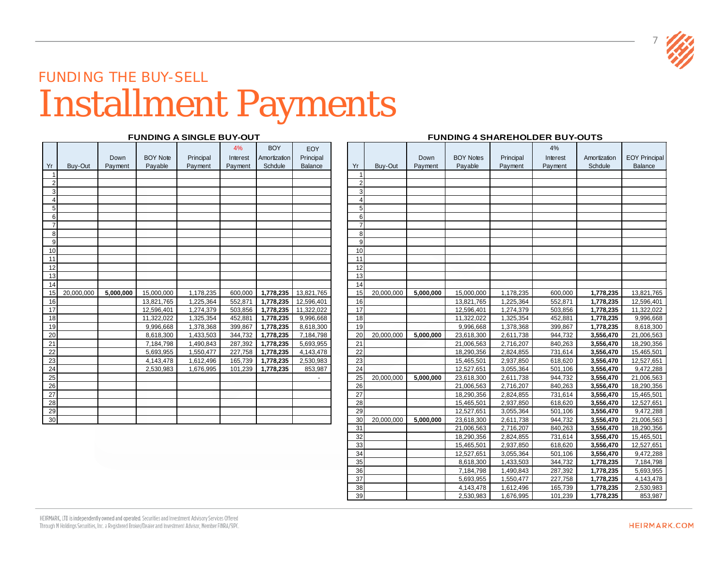

### FUNDING THE BUY-SELL Installment Payments

#### **FUNDING A SINGLE BUY-OUT**

|                 |            | Down      | <b>BOY Note</b> |           | 4%<br>Interest | <b>BOY</b><br>Amortization | EOY<br>Principal |                |           |
|-----------------|------------|-----------|-----------------|-----------|----------------|----------------------------|------------------|----------------|-----------|
| Yr              |            |           |                 | Principal |                | Schdule                    |                  | Yr             |           |
| $\mathbf{1}$    | Buy-Out    | Payment   | Payable         | Payment   | Payment        |                            | Balance          | 1              | Buy-Out   |
| $\overline{2}$  |            |           |                 |           |                |                            |                  | $\overline{2}$ |           |
| 3               |            |           |                 |           |                |                            |                  | 3              |           |
| 4               |            |           |                 |           |                |                            |                  | 4              |           |
| 5               |            |           |                 |           |                |                            |                  | 5              |           |
| 6               |            |           |                 |           |                |                            |                  | 6              |           |
| $\overline{7}$  |            |           |                 |           |                |                            |                  | 7              |           |
| 8               |            |           |                 |           |                |                            |                  | 8              |           |
| 9               |            |           |                 |           |                |                            |                  | 9              |           |
| 10              |            |           |                 |           |                |                            |                  | 10             |           |
| 11              |            |           |                 |           |                |                            |                  | 11             |           |
| 12              |            |           |                 |           |                |                            |                  | 12             |           |
| 13              |            |           |                 |           |                |                            |                  | 13             |           |
| 14              |            |           |                 |           |                |                            |                  | 14             |           |
| 15              | 20,000,000 | 5,000,000 | 15,000,000      | 1,178,235 | 600,000        | 1,778,235                  | 13,821,765       | 15             | 20,000,00 |
| 16              |            |           | 13,821,765      | 1,225,364 | 552,871        | 1,778,235                  | 12,596,401       | 16             |           |
| 17              |            |           | 12,596,401      | 1,274,379 | 503,856        | 1,778,235                  | 11,322,022       | 17             |           |
| 18              |            |           | 11,322,022      | 1,325,354 | 452,881        | 1,778,235                  | 9,996,668        | 18             |           |
| 19              |            |           | 9,996,668       | 1,378,368 | 399,867        | 1,778,235                  | 8,618,300        | 19             |           |
| 20              |            |           | 8,618,300       | 1,433,503 | 344,732        | 1,778,235                  | 7,184,798        | 20             | 20,000,00 |
| 21              |            |           | 7,184,798       | 1,490,843 | 287,392        | 1,778,235                  | 5,693,955        | 21             |           |
| 22              |            |           | 5,693,955       | 1,550,477 | 227,758        | 1,778,235                  | 4,143,478        | 22             |           |
| 23              |            |           | 4,143,478       | 1,612,496 | 165,739        | 1,778,235                  | 2,530,983        | 23             |           |
| 24              |            |           | 2,530,983       |           | 101,239        | 1,778,235                  | 853,987          | 24             |           |
| 25              |            |           |                 | 1,676,995 |                |                            |                  | 25             | 20,000,00 |
| 26              |            |           |                 |           |                |                            |                  | 26             |           |
| 27              |            |           |                 |           |                |                            |                  | 27             |           |
| 28              |            |           |                 |           |                |                            |                  | 28             |           |
| 29              |            |           |                 |           |                |                            |                  | 29             |           |
| 30 <sup>1</sup> |            |           |                 |           |                |                            |                  | 30             | 20,000,00 |
|                 |            |           |                 |           |                |                            |                  |                |           |

#### **FUNDING 4 SHAREHOLDER BUY-OUTS**

|                   |            |           |                 |           | 4%       | <b>BOY</b>   | EOY        |                |            |           |                          |                        | 4%                 |                        |                         |
|-------------------|------------|-----------|-----------------|-----------|----------|--------------|------------|----------------|------------|-----------|--------------------------|------------------------|--------------------|------------------------|-------------------------|
|                   |            | Down      | <b>BOY Note</b> | Principal | Interest | Amortization | Principal  |                |            | Down      | <b>BOY Notes</b>         | Principal              | Interest           | Amortization           | <b>EOY Principal</b>    |
| ′r                | Buy-Out    | Payment   | Payable         | Payment   | Payment  | Schdule      | Balance    | Yr             | Buy-Out    | Payment   | Payable                  | Payment                | Payment            | Schdule                | Balance                 |
| $\vert$ 1         |            |           |                 |           |          |              |            |                |            |           |                          |                        |                    |                        |                         |
| 2                 |            |           |                 |           |          |              |            | $\mathcal{P}$  |            |           |                          |                        |                    |                        |                         |
| $\overline{3}$    |            |           |                 |           |          |              |            | 3              |            |           |                          |                        |                    |                        |                         |
| $\vert$           |            |           |                 |           |          |              |            | $\overline{4}$ |            |           |                          |                        |                    |                        |                         |
| $5\overline{)}$   |            |           |                 |           |          |              |            | 5              |            |           |                          |                        |                    |                        |                         |
| 6                 |            |           |                 |           |          |              |            | 6              |            |           |                          |                        |                    |                        |                         |
| $\overline{7}$    |            |           |                 |           |          |              |            | $\overline{7}$ |            |           |                          |                        |                    |                        |                         |
| $\lvert 8 \rvert$ |            |           |                 |           |          |              |            | 8              |            |           |                          |                        |                    |                        |                         |
| $\overline{9}$    |            |           |                 |           |          |              |            | $\mathsf{Q}$   |            |           |                          |                        |                    |                        |                         |
| 10 <sub>1</sub>   |            |           |                 |           |          |              |            | 10             |            |           |                          |                        |                    |                        |                         |
| 11                |            |           |                 |           |          |              |            | 11             |            |           |                          |                        |                    |                        |                         |
| 12 <sup>1</sup>   |            |           |                 |           |          |              |            | 12             |            |           |                          |                        |                    |                        |                         |
| 13                |            |           |                 |           |          |              |            | 13             |            |           |                          |                        |                    |                        |                         |
| 4                 |            |           |                 |           |          |              |            | 14             |            |           |                          |                        |                    |                        |                         |
| 15                | 20,000,000 | 5,000,000 | 15,000,000      | 1,178,235 | 600,000  | 1,778,235    | 13,821,765 | 15             | 20,000,000 | 5,000,000 | 15,000,000               | 1,178,235              | 600,000            | 1,778,235              | 13,821,765              |
| 16                |            |           | 13,821,765      | 1,225,364 | 552,871  | 1,778,235    | 12,596,401 | 16             |            |           | 13,821,765               | 1,225,364              | 552,871            | 1,778,235              | 12,596,401              |
| $\overline{17}$   |            |           | 12,596,401      | 1,274,379 | 503,856  | 1,778,235    | 11,322,022 | 17             |            |           | 12,596,401               | 1,274,379              | 503,856            | 1,778,235              | 11,322,022              |
| 18                |            |           | 11.322.022      | 1,325,354 | 452,881  | 1,778,235    | 9,996,668  | 18             |            |           | 11,322,022               | 1,325,354              | 452,881            | 1,778,235              | 9,996,668               |
| 19                |            |           | 9,996,668       | 1,378,368 | 399,867  | 1,778,235    | 8,618,300  | 19             |            |           | 9,996,668                | 1,378,368              | 399,867            | 1,778,235              | 8,618,300               |
| $20\,$            |            |           | 8,618,300       | 1,433,503 | 344,732  | 1,778,235    | 7,184,798  | 20             | 20,000,000 | 5.000.000 | 23,618,300               | 2,611,738              | 944,732            | 3,556,470              | 21,006,563              |
| $\overline{21}$   |            |           | 7,184,798       | 1,490,843 | 287,392  | 1,778,235    | 5,693,955  | 21             |            |           | 21,006,563               | 2,716,207              | 840,263            | 3,556,470              | 18,290,356              |
| $\overline{22}$   |            |           | 5,693,955       | 1,550,477 | 227,758  | 1,778,235    | 4,143,478  | 22             |            |           | 18,290,356               | 2,824,855              | 731,614            | 3,556,470              | 15,465,501              |
| 23                |            |           | 4,143,478       | 1,612,496 | 165,739  | 1,778,235    | 2,530,983  | 23             |            |           | 15,465,501               | 2,937,850              | 618,620            | 3,556,470              | 12,527,651              |
| $\frac{24}{25}$   |            |           | 2,530,983       | 1,676,995 | 101,239  | 1,778,235    | 853,987    | 24             |            |           | 12,527,651               | 3,055,364              | 501,106            | 3,556,470              | 9,472,288               |
|                   |            |           |                 |           |          |              |            | 25             | 20,000,000 | 5,000,000 | 23,618,300               | 2,611,738              | 944,732            | 3,556,470              | 21,006,563              |
| $\frac{26}{27}$   |            |           |                 |           |          |              |            | 26             |            |           | 21,006,563               | 2,716,207              | 840,263            | 3,556,470              | 18,290,356              |
|                   |            |           |                 |           |          |              |            | 27             |            |           | 18,290,356               | 2,824,855              | 731,614            | 3,556,470              | 15,465,501              |
| $\overline{28}$   |            |           |                 |           |          |              |            | 28             |            |           | 15,465,501               | 2,937,850              | 618,620            | 3,556,470              | 12,527,651<br>9,472,288 |
| 29                |            |           |                 |           |          |              |            | 29             |            |           | 12,527,651               | 3,055,364              | 501,106            | 3,556,470              |                         |
| 30 <sub>2</sub>   |            |           |                 |           |          |              |            | 30             | 20,000,000 | 5,000,000 | 23,618,300               | 2,611,738              | 944,732            | 3,556,470              | 21,006,563              |
|                   |            |           |                 |           |          |              |            | 31             |            |           | 21,006,563               | 2,716,207              | 840,263            | 3,556,470              | 18,290,356              |
|                   |            |           |                 |           |          |              |            | 32             |            |           | 18,290,356               | 2,824,855              | 731,614            | 3,556,470              | 15,465,501              |
|                   |            |           |                 |           |          |              |            | 33<br>34       |            |           | 15,465,501<br>12,527,651 | 2,937,850              | 618,620            | 3,556,470              | 12,527,651              |
|                   |            |           |                 |           |          |              |            |                |            |           |                          | 3,055,364<br>1,433,503 | 501,106<br>344,732 | 3,556,470<br>1,778,235 | 9,472,288<br>7,184,798  |
|                   |            |           |                 |           |          |              |            | 35<br>36       |            |           | 8,618,300<br>7,184,798   | 1,490,843              | 287,392            | 1,778,235              |                         |
|                   |            |           |                 |           |          |              |            | 37             |            |           | 5,693,955                | 1,550,477              | 227,758            | 1,778,235              | 5,693,955<br>4,143,478  |
|                   |            |           |                 |           |          |              |            |                |            |           |                          |                        |                    |                        |                         |
|                   |            |           |                 |           |          |              |            | 38             |            |           | 4,143,478<br>2,530,983   | 1,612,496              | 165,739<br>101,239 | 1,778,235<br>1,778,235 | 2,530,983               |
|                   |            |           |                 |           |          |              |            | 39             |            |           |                          | 1,676,995              |                    |                        | 853,987                 |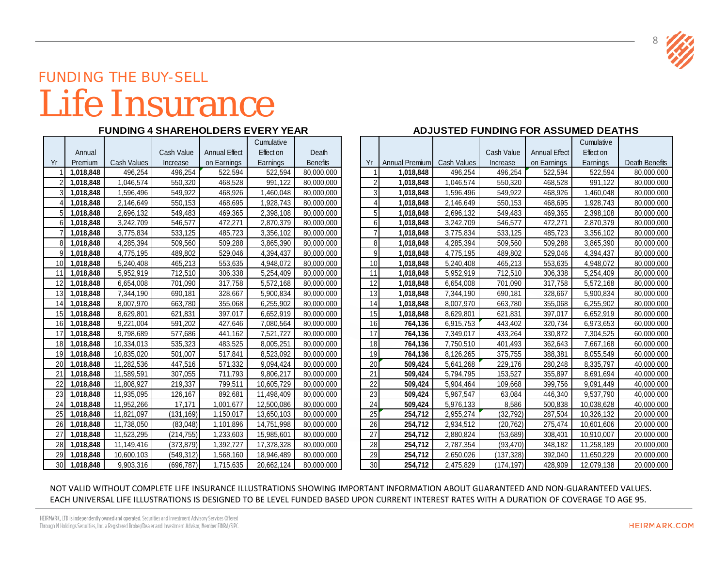

### FUNDING THE BUY-SELL Life Insurance

|                 |           |             |            |                      | Cumulative |                 |                 |                |                    |
|-----------------|-----------|-------------|------------|----------------------|------------|-----------------|-----------------|----------------|--------------------|
|                 | Annual    |             | Cash Value | <b>Annual Effect</b> | Effect on  | Death           |                 |                |                    |
| Yr              | Premium   | Cash Values | Increase   | on Earnings          | Earnings   | <b>Benefits</b> | Yr              | Annual Premium | <b>Cash Values</b> |
|                 | 1,018,848 | 496,254     | 496,254    | 522,594              | 522,594    | 80,000,000      | 1               | 1,018,848      | 496,254            |
| $\overline{2}$  | 1,018,848 | 1,046,574   | 550,320    | 468,528              | 991,122    | 80,000,000      | $\overline{2}$  | 1,018,848      | 1,046,574          |
| $\overline{3}$  | 1,018,848 | 1,596,496   | 549,922    | 468,926              | 1,460,048  | 80,000,000      | $\overline{3}$  | 1,018,848      | 1,596,496          |
| $\vert$         | 1,018,848 | 2,146,649   | 550,153    | 468,695              | 1,928,743  | 80,000,000      | 4               | 1,018,848      | 2,146,649          |
| 5 <sup>1</sup>  | 1,018,848 | 2,696,132   | 549,483    | 469,365              | 2,398,108  | 80,000,000      | 5               | 1,018,848      | 2,696,132          |
| $6 \mid$        | 1,018,848 | 3,242,709   | 546,577    | 472,271              | 2,870,379  | 80,000,000      | 6               | 1,018,848      | 3,242,709          |
| 7 <sup>1</sup>  | 1,018,848 | 3,775,834   | 533,125    | 485,723              | 3,356,102  | 80,000,000      | $\overline{7}$  | 1,018,848      | 3,775,834          |
| 8 <sup>1</sup>  | 1,018,848 | 4,285,394   | 509,560    | 509,288              | 3,865,390  | 80,000,000      | 8               | 1,018,848      | 4,285,394          |
| 9               | 1,018,848 | 4,775,195   | 489,802    | 529,046              | 4,394,437  | 80,000,000      | 9               | 1,018,848      | 4,775,195          |
| 10 <sup>1</sup> | 1,018,848 | 5,240,408   | 465,213    | 553,635              | 4,948,072  | 80,000,000      | 10 <sup>1</sup> | 1,018,848      | 5,240,408          |
| 11              | 1,018,848 | 5,952,919   | 712,510    | 306,338              | 5,254,409  | 80,000,000      | 11              | 1,018,848      | 5,952,919          |
| 12              | 1,018,848 | 6,654,008   | 701,090    | 317,758              | 5,572,168  | 80,000,000      | 12              | 1,018,848      | 6,654,008          |
| 13              | 1,018,848 | 7,344,190   | 690,181    | 328,667              | 5,900,834  | 80,000,000      | 13              | 1,018,848      | 7,344,190          |
| 14              | 1,018,848 | 8,007,970   | 663,780    | 355,068              | 6,255,902  | 80,000,000      | 14              | 1,018,848      | 8,007,970          |
| 15              | 1,018,848 | 8,629,801   | 621,831    | 397,017              | 6,652,919  | 80,000,000      | 15              | 1,018,848      | 8,629,801          |
| 16              | 1,018,848 | 9,221,004   | 591,202    | 427,646              | 7,080,564  | 80,000,000      | 16              | 764,136        | 6,915,753          |
| 17              | 1,018,848 | 9,798,689   | 577,686    | 441,162              | 7,521,727  | 80,000,000      | 17              | 764,136        | 7,349,017          |
| 18              | 1,018,848 | 10,334,013  | 535,323    | 483,525              | 8,005,251  | 80,000,000      | 18              | 764,136        | 7,750,510          |
| 19              | 1,018,848 | 10,835,020  | 501,007    | 517,841              | 8,523,092  | 80,000,000      | 19              | 764,136        | 8,126,265          |
| 20              | 1,018,848 | 11,282,536  | 447,516    | 571,332              | 9,094,424  | 80,000,000      | 20              | 509,424        | 5,641,268          |
| 21              | 1,018,848 | 11,589,591  | 307,055    | 711,793              | 9,806,217  | 80,000,000      | 21              | 509,424        | 5,794,795          |
| 22              | 1,018,848 | 11,808,927  | 219,337    | 799,511              | 10,605,729 | 80,000,000      | 22              | 509,424        | 5,904,464          |
| 23              | 1,018,848 | 11,935,095  | 126,167    | 892,681              | 11,498,409 | 80,000,000      | 23              | 509,424        | 5,967,547          |
| 24              | 1,018,848 | 11,952,266  | 17,171     | 1,001,677            | 12,500,086 | 80,000,000      | 24              | 509,424        | 5,976,133          |
| 25              | 1,018,848 | 11,821,097  | (131, 169) | 1,150,017            | 13,650,103 | 80,000,000      | $\overline{25}$ | 254,712        | 2,955,274          |
| 26              | 1,018,848 | 11,738,050  | (83, 048)  | 1,101,896            | 14,751,998 | 80,000,000      | 26              | 254,712        | 2,934,512          |
| 27              | 1,018,848 | 11,523,295  | (214, 755) | 1,233,603            | 15,985,601 | 80,000,000      | 27              | 254,712        | 2,880,824          |
| 28              | 1,018,848 | 11,149,416  | (373, 879) | 1,392,727            | 17,378,328 | 80,000,000      | 28              | 254,712        | 2,787,354          |
| 29              | 1,018,848 | 10,600,103  | (549, 312) | 1,568,160            | 18,946,489 | 80,000,000      | 29              | 254,712        | 2,650,026          |
| 30 <sup>1</sup> | 1,018,848 | 9,903,316   | (696, 787) | 1,715,635            | 20,662,124 | 80,000,000      | 30 <sup>1</sup> | 254,712        | 2,475,829          |

### **FUNDING 4 SHAREHOLDERS EVERY YEAR ADJUSTED FUNDING FOR ASSUMED DEATHS**

|                 | Annual    |             | Cash Value | <b>Annual Effect</b> | Cumulative<br>Effect on | Death           |                 |                       |                    | Cash Value | <b>Annual Effect</b> | Cumulative<br><b>Effect on</b> |                |
|-----------------|-----------|-------------|------------|----------------------|-------------------------|-----------------|-----------------|-----------------------|--------------------|------------|----------------------|--------------------------------|----------------|
|                 | Premium   | Cash Values | Increase   | on Earnings          | Earnings                | <b>Benefits</b> | Yr              | <b>Annual Premium</b> | <b>Cash Values</b> | Increase   | on Earnings          | Earnings                       | Death Benefits |
|                 | 1,018,848 | 496,254     | 496,254    | 522,594              | 522,594                 | 80,000,000      |                 | 1,018,848             | 496,254            | 496,254    | 522,594              | 522,594                        | 80,000,000     |
|                 | 1,018,848 | 1,046,574   | 550,320    | 468,528              | 991,122                 | 80,000,000      | $\overline{2}$  | 1,018,848             | 1,046,574          | 550,320    | 468,528              | 991,122                        | 80,000,000     |
|                 | 1,018,848 | 1,596,496   | 549,922    | 468,926              | 1,460,048               | 80,000,000      | 3               | 1,018,848             | 1,596,496          | 549,922    | 468,926              | 1,460,048                      | 80,000,000     |
|                 | 1,018,848 | 2,146,649   | 550,153    | 468,695              | 1,928,743               | 80,000,000      |                 | 1,018,848             | 2,146,649          | 550,153    | 468,695              | 1,928,743                      | 80,000,000     |
|                 | 1,018,848 | 2,696,132   | 549,483    | 469,365              | 2,398,108               | 80,000,000      | 5               | 1,018,848             | 2,696,132          | 549,483    | 469,365              | 2,398,108                      | 80,000,000     |
|                 | 1,018,848 | 3,242,709   | 546,577    | 472,271              | 2,870,379               | 80,000,000      | 6               | 1,018,848             | 3,242,709          | 546,577    | 472,271              | 2,870,379                      | 80,000,000     |
|                 | 1,018,848 | 3,775,834   | 533,125    | 485,723              | 3,356,102               | 80,000,000      |                 | 1,018,848             | 3,775,834          | 533,125    | 485,723              | 3,356,102                      | 80,000,000     |
|                 | 1,018,848 | 4,285,394   | 509,560    | 509,288              | 3,865,390               | 80,000,000      | 8               | 1,018,848             | 4,285,394          | 509,560    | 509,288              | 3,865,390                      | 80,000,000     |
|                 | 1,018,848 | 4,775,195   | 489,802    | 529,046              | 4,394,437               | 80,000,000      | 9               | 1,018,848             | 4,775,195          | 489,802    | 529,046              | 4,394,437                      | 80,000,000     |
| 10 <sup>1</sup> | 1,018,848 | 5,240,408   | 465,213    | 553,635              | 4,948,072               | 80,000,000      | 10              | 1,018,848             | 5,240,408          | 465,213    | 553,635              | 4,948,072                      | 80,000,000     |
|                 | 1,018,848 | 5,952,919   | 712,510    | 306,338              | 5,254,409               | 80,000,000      | 11              | 1,018,848             | 5,952,919          | 712,510    | 306,338              | 5,254,409                      | 80,000,000     |
|                 | 1,018,848 | 6,654,008   | 701,090    | 317,758              | 5,572,168               | 80,000,000      | 12              | 1,018,848             | 6,654,008          | 701,090    | 317,758              | 5,572,168                      | 80,000,000     |
|                 | 1,018,848 | 7,344,190   | 690,181    | 328,667              | 5,900,834               | 80,000,000      | 13              | 1,018,848             | 7,344,190          | 690,181    | 328,667              | 5,900,834                      | 80,000,000     |
|                 | 1,018,848 | 8,007,970   | 663,780    | 355,068              | 6,255,902               | 80,000,000      | 14              | 1,018,848             | 8,007,970          | 663,780    | 355,068              | 6,255,902                      | 80,000,000     |
|                 | 1,018,848 | 8,629,801   | 621,831    | 397,017              | 6,652,919               | 80,000,000      | 15              | 1,018,848             | 8,629,801          | 621,831    | 397,017              | 6,652,919                      | 80,000,000     |
|                 | 1,018,848 | 9,221,004   | 591,202    | 427,646              | 7,080,564               | 80,000,000      | 16              | 764,136               | 6,915,753          | 443,402    | 320,734              | 6,973,653                      | 60,000,000     |
|                 | 1,018,848 | 9,798,689   | 577,686    | 441,162              | 7,521,727               | 80,000,000      | 17              | 764,136               | 7,349,017          | 433,264    | 330,872              | 7,304,525                      | 60,000,000     |
| 181             | 1,018,848 | 10,334,013  | 535,323    | 483,525              | 8,005,251               | 80,000,000      | 18              | 764,136               | 7,750,510          | 401,493    | 362,643              | 7,667,168                      | 60,000,000     |
| 19              | 1,018,848 | 10,835,020  | 501,007    | 517,841              | 8,523,092               | 80,000,000      | 19              | 764,136               | 8,126,265          | 375,755    | 388,381              | 8,055,549                      | 60,000,000     |
|                 | 1,018,848 | 11,282,536  | 447,516    | 571,332              | 9,094,424               | 80,000,000      | 20              | 509,424               | 5,641,268          | 229,176    | 280,248              | 8,335,797                      | 40,000,000     |
| 21              | 1,018,848 | 11,589,591  | 307,055    | 711,793              | 9,806,217               | 80,000,000      | 21              | 509,424               | 5,794,795          | 153,527    | 355,897              | 8,691,694                      | 40,000,000     |
|                 | 1,018,848 | 11,808,927  | 219,337    | 799,511              | 10,605,729              | 80,000,000      | 22              | 509,424               | 5,904,464          | 109,668    | 399,756              | 9,091,449                      | 40,000,000     |
|                 | 1,018,848 | 11,935,095  | 126,167    | 892,681              | 11,498,409              | 80,000,000      | 23              | 509,424               | 5,967,547          | 63,084     | 446,340              | 9,537,790                      | 40,000,000     |
|                 | 1,018,848 | 11,952,266  | 17.171     | 1,001,677            | 12,500,086              | 80,000,000      | 24              | 509,424               | 5,976,133          | 8,586      | 500,838              | 10,038,628                     | 40,000,000     |
|                 | 1,018,848 | 11,821,097  | (131, 169) | 1,150,017            | 13,650,103              | 80,000,000      | 25              | 254,712               | 2,955,274          | (32, 792)  | 287,504              | 10,326,132                     | 20,000,000     |
| 26              | 1,018,848 | 11,738,050  | (83,048)   | 1,101,896            | 14,751,998              | 80,000,000      | 26              | 254,712               | 2,934,512          | (20, 762)  | 275,474              | 10,601,606                     | 20,000,000     |
|                 | 1,018,848 | 11,523,295  | (214, 755) | 1,233,603            | 15,985,601              | 80,000,000      | 27              | 254,712               | 2,880,824          | (53,689)   | 308,401              | 10,910,007                     | 20,000,000     |
|                 | 1,018,848 | 11,149,416  | (373, 879) | 1,392,727            | 17,378,328              | 80,000,000      | 28              | 254,712               | 2,787,354          | (93, 470)  | 348,182              | 11,258,189                     | 20,000,000     |
| 29              | 1,018,848 | 10,600,103  | (549, 312) | 1,568,160            | 18,946,489              | 80,000,000      | 29              | 254,712               | 2,650,026          | (137, 328) | 392,040              | 11,650,229                     | 20,000,000     |
| 30 I            | 1.018.848 | 9.903.316   | (696.787)  | 1.715.635            | 20,662,124              | 80,000,000      | 30 <sup>1</sup> | 254,712               | 2.475.829          | (174, 197) | 428.909              | 12.079.138                     | 20,000,000     |

#### NOT VALID WITHOUT COMPLETE LIFE INSURANCE ILLUSTRATIONS SHOWING IMPORTANT INFORMATION ABOUT GUARANTEED AND NON-GUARANTEED VALUES. EACH UNIVERSAL LIFE ILLUSTRATIONS IS DESIGNED TO BE LEVEL FUNDED BASED UPON CURRENT INTEREST RATES WITH A DURATION OF COVERAGE TO AGE 95.